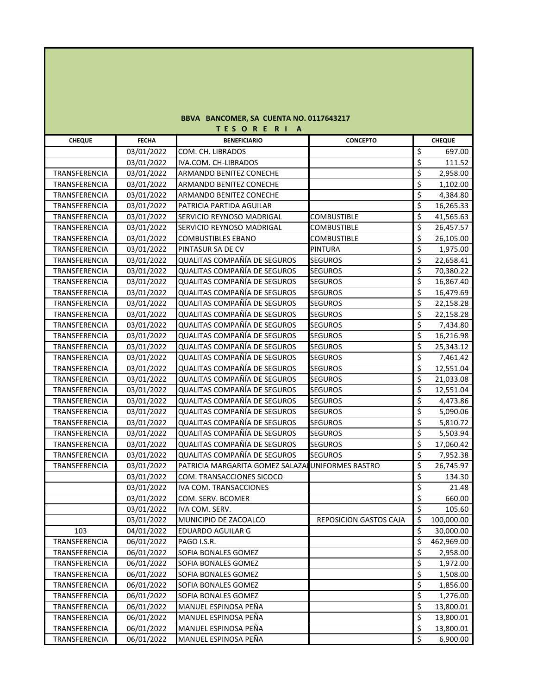## **BBVA BANCOMER, SA CUENTA NO. 0117643217 T E S O R E R I A**

| <b>CHEQUE</b> | <b>FECHA</b> | <b>BENEFICIARIO</b>                               | <b>CONCEPTO</b>               | <b>CHEQUE</b>                               |
|---------------|--------------|---------------------------------------------------|-------------------------------|---------------------------------------------|
|               | 03/01/2022   | COM. CH. LIBRADOS                                 |                               | \$<br>697.00                                |
|               | 03/01/2022   | IVA.COM. CH-LIBRADOS                              |                               | \$<br>111.52                                |
| TRANSFERENCIA | 03/01/2022   | ARMANDO BENITEZ CONECHE                           |                               | \$<br>2,958.00                              |
| TRANSFERENCIA | 03/01/2022   | ARMANDO BENITEZ CONECHE                           |                               | \$<br>1,102.00                              |
| TRANSFERENCIA | 03/01/2022   | ARMANDO BENITEZ CONECHE                           |                               | $\overline{\boldsymbol{\zeta}}$<br>4,384.80 |
| TRANSFERENCIA | 03/01/2022   | PATRICIA PARTIDA AGUILAR                          |                               | \$<br>16,265.33                             |
| TRANSFERENCIA | 03/01/2022   | SERVICIO REYNOSO MADRIGAL                         | <b>COMBUSTIBLE</b>            | \$<br>41,565.63                             |
| TRANSFERENCIA | 03/01/2022   | SERVICIO REYNOSO MADRIGAL                         | <b>COMBUSTIBLE</b>            | \$<br>26,457.57                             |
| TRANSFERENCIA | 03/01/2022   | <b>COMBUSTIBLES EBANO</b>                         | <b>COMBUSTIBLE</b>            | \$<br>26,105.00                             |
| TRANSFERENCIA | 03/01/2022   | PINTASUR SA DE CV                                 | <b>PINTURA</b>                | \$<br>1,975.00                              |
| TRANSFERENCIA | 03/01/2022   | QUALITAS COMPAÑÍA DE SEGUROS                      | <b>SEGUROS</b>                | \$<br>22,658.41                             |
| TRANSFERENCIA | 03/01/2022   | QUALITAS COMPAÑÍA DE SEGUROS                      | <b>SEGUROS</b>                | \$<br>70,380.22                             |
| TRANSFERENCIA | 03/01/2022   | QUALITAS COMPAÑÍA DE SEGUROS                      | <b>SEGUROS</b>                | \$<br>16,867.40                             |
| TRANSFERENCIA | 03/01/2022   | QUALITAS COMPAÑÍA DE SEGUROS                      | <b>SEGUROS</b>                | \$<br>16,479.69                             |
| TRANSFERENCIA | 03/01/2022   | QUALITAS COMPAÑÍA DE SEGUROS                      | <b>SEGUROS</b>                | \$<br>22,158.28                             |
| TRANSFERENCIA | 03/01/2022   | QUALITAS COMPAÑÍA DE SEGUROS                      | <b>SEGUROS</b>                | \$<br>22,158.28                             |
| TRANSFERENCIA | 03/01/2022   | QUALITAS COMPAÑÍA DE SEGUROS                      | <b>SEGUROS</b>                | \$<br>7,434.80                              |
| TRANSFERENCIA | 03/01/2022   | QUALITAS COMPAÑÍA DE SEGUROS                      | <b>SEGUROS</b>                | \$<br>16,216.98                             |
| TRANSFERENCIA | 03/01/2022   | QUALITAS COMPAÑÍA DE SEGUROS                      | <b>SEGUROS</b>                | \$<br>25,343.12                             |
| TRANSFERENCIA | 03/01/2022   | QUALITAS COMPAÑÍA DE SEGUROS                      | <b>SEGUROS</b>                | \$<br>7,461.42                              |
| TRANSFERENCIA | 03/01/2022   | QUALITAS COMPAÑÍA DE SEGUROS                      | <b>SEGUROS</b>                | \$<br>12,551.04                             |
| TRANSFERENCIA | 03/01/2022   | QUALITAS COMPAÑÍA DE SEGUROS                      | <b>SEGUROS</b>                | \$<br>21,033.08                             |
| TRANSFERENCIA | 03/01/2022   | QUALITAS COMPAÑÍA DE SEGUROS                      | <b>SEGUROS</b>                | \$<br>12,551.04                             |
| TRANSFERENCIA | 03/01/2022   | QUALITAS COMPAÑÍA DE SEGUROS                      | <b>SEGUROS</b>                | \$<br>4,473.86                              |
| TRANSFERENCIA | 03/01/2022   | QUALITAS COMPAÑÍA DE SEGUROS                      | <b>SEGUROS</b>                | \$<br>5,090.06                              |
| TRANSFERENCIA | 03/01/2022   | QUALITAS COMPAÑÍA DE SEGUROS                      | <b>SEGUROS</b>                | \$<br>5,810.72                              |
| TRANSFERENCIA | 03/01/2022   | QUALITAS COMPAÑÍA DE SEGUROS                      | <b>SEGUROS</b>                | \$<br>5,503.94                              |
| TRANSFERENCIA | 03/01/2022   | QUALITAS COMPAÑÍA DE SEGUROS                      | <b>SEGUROS</b>                | \$<br>17,060.42                             |
| TRANSFERENCIA | 03/01/2022   | QUALITAS COMPAÑÍA DE SEGUROS                      | <b>SEGUROS</b>                | \$<br>7,952.38                              |
| TRANSFERENCIA | 03/01/2022   | PATRICIA MARGARITA GOMEZ SALAZAI UNIFORMES RASTRO |                               | \$<br>26,745.97                             |
|               | 03/01/2022   | COM. TRANSACCIONES SICOCO                         |                               | \$<br>134.30                                |
|               | 03/01/2022   | <b>IVA COM. TRANSACCIONES</b>                     |                               | \$<br>21.48                                 |
|               | 03/01/2022   | COM. SERV. BCOMER                                 |                               | \$<br>660.00                                |
|               | 03/01/2022   | IVA COM. SERV.                                    |                               | \$<br>105.60                                |
|               | 03/01/2022   | MUNICIPIO DE ZACOALCO                             | <b>REPOSICION GASTOS CAJA</b> | \$<br>100,000.00                            |
| 103           | 04/01/2022   | <b>EDUARDO AGUILAR G</b>                          |                               | \$<br>30,000.00                             |
| TRANSFERENCIA | 06/01/2022   | PAGO I.S.R.                                       |                               | \$<br>462,969.00                            |
| TRANSFERENCIA | 06/01/2022   | SOFIA BONALES GOMEZ                               |                               | \$<br>2,958.00                              |
| TRANSFERENCIA | 06/01/2022   | SOFIA BONALES GOMEZ                               |                               | \$<br>1,972.00                              |
| TRANSFERENCIA | 06/01/2022   | SOFIA BONALES GOMEZ                               |                               | \$<br>1,508.00                              |
| TRANSFERENCIA | 06/01/2022   | SOFIA BONALES GOMEZ                               |                               | \$<br>1,856.00                              |
| TRANSFERENCIA | 06/01/2022   | SOFIA BONALES GOMEZ                               |                               | \$<br>1,276.00                              |
| TRANSFERENCIA | 06/01/2022   | MANUEL ESPINOSA PEÑA                              |                               | \$<br>13,800.01                             |
| TRANSFERENCIA | 06/01/2022   | MANUEL ESPINOSA PEÑA                              |                               | \$<br>13,800.01                             |
| TRANSFERENCIA | 06/01/2022   | MANUEL ESPINOSA PEÑA                              |                               | \$<br>13,800.01                             |
| TRANSFERENCIA | 06/01/2022   | MANUEL ESPINOSA PEÑA                              |                               | \$<br>6,900.00                              |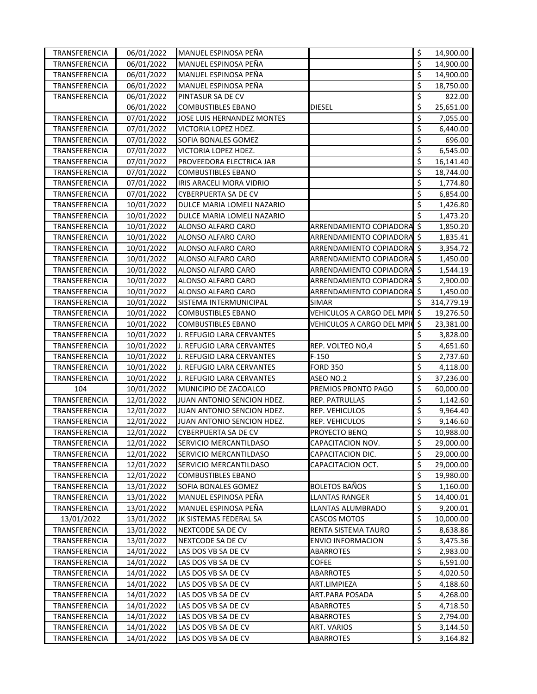| TRANSFERENCIA | 06/01/2022 | MANUEL ESPINOSA PEÑA        |                               | \$                       | 14,900.00  |
|---------------|------------|-----------------------------|-------------------------------|--------------------------|------------|
| TRANSFERENCIA | 06/01/2022 | MANUEL ESPINOSA PEÑA        |                               | \$                       | 14,900.00  |
| TRANSFERENCIA | 06/01/2022 | MANUEL ESPINOSA PEÑA        |                               | \$                       | 14,900.00  |
| TRANSFERENCIA | 06/01/2022 | MANUEL ESPINOSA PEÑA        |                               | \$                       | 18,750.00  |
| TRANSFERENCIA | 06/01/2022 | PINTASUR SA DE CV           |                               | \$                       | 822.00     |
|               | 06/01/2022 | <b>COMBUSTIBLES EBANO</b>   | <b>DIESEL</b>                 | \$                       | 25,651.00  |
| TRANSFERENCIA | 07/01/2022 | JOSE LUIS HERNANDEZ MONTES  |                               | \$                       | 7,055.00   |
| TRANSFERENCIA | 07/01/2022 | VICTORIA LOPEZ HDEZ.        |                               | \$                       | 6,440.00   |
| TRANSFERENCIA | 07/01/2022 | SOFIA BONALES GOMEZ         |                               | \$                       | 696.00     |
| TRANSFERENCIA | 07/01/2022 | VICTORIA LOPEZ HDEZ.        |                               | \$                       | 6,545.00   |
| TRANSFERENCIA | 07/01/2022 | PROVEEDORA ELECTRICA JAR    |                               | \$                       | 16,141.40  |
| TRANSFERENCIA | 07/01/2022 | <b>COMBUSTIBLES EBANO</b>   |                               | \$                       | 18,744.00  |
| TRANSFERENCIA | 07/01/2022 | IRIS ARACELI MORA VIDRIO    |                               | \$                       | 1,774.80   |
| TRANSFERENCIA | 07/01/2022 | <b>CYBERPUERTA SA DE CV</b> |                               | \$                       | 6,854.00   |
| TRANSFERENCIA | 10/01/2022 | DULCE MARIA LOMELI NAZARIO  |                               | \$                       | 1,426.80   |
| TRANSFERENCIA | 10/01/2022 | DULCE MARIA LOMELI NAZARIO  |                               | \$                       | 1,473.20   |
| TRANSFERENCIA | 10/01/2022 | ALONSO ALFARO CARO          | ARRENDAMIENTO COPIADORA       | $\zeta$                  | 1,850.20   |
| TRANSFERENCIA | 10/01/2022 | ALONSO ALFARO CARO          | ARRENDAMIENTO COPIADORA \$    |                          | 1,835.41   |
| TRANSFERENCIA | 10/01/2022 | ALONSO ALFARO CARO          | ARRENDAMIENTO COPIADORA \$    |                          | 3,354.72   |
| TRANSFERENCIA | 10/01/2022 | ALONSO ALFARO CARO          | ARRENDAMIENTO COPIADORA \$    |                          | 1,450.00   |
| TRANSFERENCIA | 10/01/2022 | ALONSO ALFARO CARO          | ARRENDAMIENTO COPIADORA \$    |                          | 1,544.19   |
| TRANSFERENCIA | 10/01/2022 | ALONSO ALFARO CARO          | ARRENDAMIENTO COPIADORA \$    |                          | 2,900.00   |
| TRANSFERENCIA | 10/01/2022 | ALONSO ALFARO CARO          | ARRENDAMIENTO COPIADORA \$    |                          | 1,450.00   |
| TRANSFERENCIA | 10/01/2022 | SISTEMA INTERMUNICIPAL      | <b>SIMAR</b>                  | \$                       | 314,779.19 |
| TRANSFERENCIA | 10/01/2022 | <b>COMBUSTIBLES EBANO</b>   | VEHICULOS A CARGO DEL MPIO    | 5                        | 19,276.50  |
| TRANSFERENCIA | 10/01/2022 | <b>COMBUSTIBLES EBANO</b>   | VEHICULOS A CARGO DEL MPIC \$ |                          | 23,381.00  |
| TRANSFERENCIA | 10/01/2022 | J. REFUGIO LARA CERVANTES   |                               | \$                       | 3,828.00   |
| TRANSFERENCIA | 10/01/2022 | J. REFUGIO LARA CERVANTES   | REP. VOLTEO NO,4              | \$                       | 4,651.60   |
| TRANSFERENCIA | 10/01/2022 | J. REFUGIO LARA CERVANTES   | $F-150$                       | \$                       | 2,737.60   |
| TRANSFERENCIA | 10/01/2022 | J. REFUGIO LARA CERVANTES   | <b>FORD 350</b>               | \$                       | 4,118.00   |
| TRANSFERENCIA | 10/01/2022 | J. REFUGIO LARA CERVANTES   | ASEO NO.2                     | \$                       | 37,236.00  |
| 104           | 10/01/2022 | MUNICIPIO DE ZACOALCO       | PREMIOS PRONTO PAGO           | \$                       | 60,000.00  |
| TRANSFERENCIA | 12/01/2022 | JUAN ANTONIO SENCION HDEZ.  | REP. PATRULLAS                | \$                       | 1,142.60   |
| TRANSFERENCIA | 12/01/2022 | JUAN ANTONIO SENCION HDEZ.  | REP. VEHICULOS                | \$                       | 9,964.40   |
| TRANSFERENCIA | 12/01/2022 | JUAN ANTONIO SENCION HDEZ.  | REP. VEHICULOS                | \$                       | 9,146.60   |
| TRANSFERENCIA | 12/01/2022 | CYBERPUERTA SA DE CV        | PROYECTO BENQ                 | \$                       | 10,988.00  |
| TRANSFERENCIA | 12/01/2022 | SERVICIO MERCANTILDASO      | CAPACITACION NOV.             | \$                       | 29,000.00  |
| TRANSFERENCIA | 12/01/2022 | SERVICIO MERCANTILDASO      | CAPACITACION DIC.             | \$                       | 29,000.00  |
| TRANSFERENCIA | 12/01/2022 | SERVICIO MERCANTILDASO      | CAPACITACION OCT.             | \$                       | 29,000.00  |
| TRANSFERENCIA | 12/01/2022 | <b>COMBUSTIBLES EBANO</b>   |                               | \$                       | 19,980.00  |
| TRANSFERENCIA | 13/01/2022 | SOFIA BONALES GOMEZ         | <b>BOLETOS BAÑOS</b>          | \$                       | 1,160.00   |
| TRANSFERENCIA | 13/01/2022 | MANUEL ESPINOSA PEÑA        | <b>LLANTAS RANGER</b>         | \$                       | 14,400.01  |
| TRANSFERENCIA | 13/01/2022 | MANUEL ESPINOSA PEÑA        | LLANTAS ALUMBRADO             | \$                       | 9,200.01   |
| 13/01/2022    | 13/01/2022 | JK SISTEMAS FEDERAL SA      | <b>CASCOS MOTOS</b>           | \$                       | 10,000.00  |
| TRANSFERENCIA | 13/01/2022 | NEXTCODE SA DE CV           | RENTA SISTEMA TAURO           | \$                       | 8,638.86   |
| TRANSFERENCIA | 13/01/2022 | NEXTCODE SA DE CV           | <b>ENVIO INFORMACION</b>      | \$                       | 3,475.36   |
| TRANSFERENCIA | 14/01/2022 | LAS DOS VB SA DE CV         | ABARROTES                     | \$                       | 2,983.00   |
| TRANSFERENCIA | 14/01/2022 | LAS DOS VB SA DE CV         | COFEE                         | \$                       | 6,591.00   |
| TRANSFERENCIA | 14/01/2022 | LAS DOS VB SA DE CV         | ABARROTES                     | \$                       | 4,020.50   |
| TRANSFERENCIA | 14/01/2022 | LAS DOS VB SA DE CV         | ART.LIMPIEZA                  | \$                       | 4,188.60   |
| TRANSFERENCIA | 14/01/2022 | LAS DOS VB SA DE CV         | ART.PARA POSADA               | \$                       | 4,268.00   |
| TRANSFERENCIA | 14/01/2022 | LAS DOS VB SA DE CV         | ABARROTES                     | \$                       | 4,718.50   |
| TRANSFERENCIA | 14/01/2022 | LAS DOS VB SA DE CV         | ABARROTES                     | \$                       | 2,794.00   |
| TRANSFERENCIA | 14/01/2022 | LAS DOS VB SA DE CV         | ART. VARIOS                   | \$                       | 3,144.50   |
| TRANSFERENCIA | 14/01/2022 | LAS DOS VB SA DE CV         | ABARROTES                     | $\overline{\mathcal{S}}$ | 3,164.82   |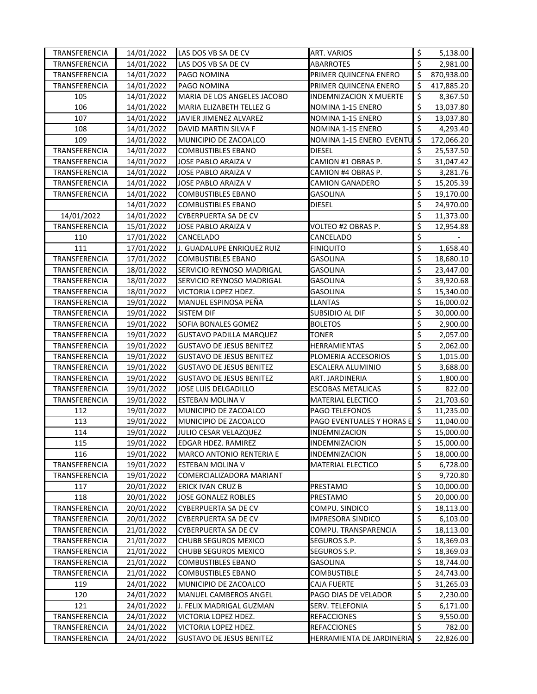| TRANSFERENCIA        | 14/01/2022 | LAS DOS VB SA DE CV             | <b>ART. VARIOS</b>            | \$                              | 5,138.00   |
|----------------------|------------|---------------------------------|-------------------------------|---------------------------------|------------|
| TRANSFERENCIA        | 14/01/2022 | LAS DOS VB SA DE CV             | <b>ABARROTES</b>              | \$                              | 2,981.00   |
| TRANSFERENCIA        | 14/01/2022 | PAGO NOMINA                     | PRIMER QUINCENA ENERO         | Ś.                              | 870,938.00 |
| TRANSFERENCIA        | 14/01/2022 | PAGO NOMINA                     | PRIMER QUINCENA ENERO         | \$                              | 417,885.20 |
| 105                  | 14/01/2022 | MARIA DE LOS ANGELES JACOBO     | <b>INDEMNIZACION X MUERTE</b> | $\overline{\mathcal{S}}$        | 8,367.50   |
| 106                  | 14/01/2022 | MARIA ELIZABETH TELLEZ G        | NOMINA 1-15 ENERO             | \$                              | 13,037.80  |
| 107                  | 14/01/2022 | JAVIER JIMENEZ ALVAREZ          | NOMINA 1-15 ENERO             | \$                              | 13,037.80  |
| 108                  | 14/01/2022 | DAVID MARTIN SILVA F            | NOMINA 1-15 ENERO             | \$                              | 4,293.40   |
| 109                  | 14/01/2022 | MUNICIPIO DE ZACOALCO           | NOMINA 1-15 ENERO EVENTU      | \$                              | 172,066.20 |
| TRANSFERENCIA        | 14/01/2022 | <b>COMBUSTIBLES EBANO</b>       | <b>DIESEL</b>                 | \$                              | 25,537.50  |
| TRANSFERENCIA        | 14/01/2022 | JOSE PABLO ARAIZA V             | CAMION #1 OBRAS P.            | \$                              | 31,047.42  |
| <b>TRANSFERENCIA</b> | 14/01/2022 | JOSE PABLO ARAIZA V             | CAMION #4 OBRAS P.            | \$                              | 3,281.76   |
| TRANSFERENCIA        | 14/01/2022 | JOSE PABLO ARAIZA V             | CAMION GANADERO               | \$                              | 15,205.39  |
| TRANSFERENCIA        | 14/01/2022 | COMBUSTIBLES EBANO              | GASOLINA                      | \$                              | 19,170.00  |
|                      | 14/01/2022 | COMBUSTIBLES EBANO              | diesel                        | \$                              | 24,970.00  |
| 14/01/2022           | 14/01/2022 | CYBERPUERTA SA DE CV            |                               | \$                              | 11,373.00  |
| TRANSFERENCIA        | 15/01/2022 | JOSE PABLO ARAIZA V             | VOLTEO #2 OBRAS P.            | \$                              | 12,954.88  |
| 110                  | 17/01/2022 | CANCELADO                       | CANCELADO                     | \$                              |            |
| 111                  | 17/01/2022 | J. GUADALUPE ENRIQUEZ RUIZ      | <b>FINIQUITO</b>              | \$                              | 1,658.40   |
| TRANSFERENCIA        | 17/01/2022 | <b>COMBUSTIBLES EBANO</b>       | <b>GASOLINA</b>               | \$                              | 18,680.10  |
| TRANSFERENCIA        | 18/01/2022 | SERVICIO REYNOSO MADRIGAL       | <b>GASOLINA</b>               | \$                              | 23,447.00  |
| TRANSFERENCIA        | 18/01/2022 | SERVICIO REYNOSO MADRIGAL       | <b>GASOLINA</b>               | \$                              | 39,920.68  |
| TRANSFERENCIA        | 18/01/2022 | VICTORIA LOPEZ HDEZ.            | <b>GASOLINA</b>               | \$                              | 15,340.00  |
| TRANSFERENCIA        | 19/01/2022 | MANUEL ESPINOSA PEÑA            | <b>LLANTAS</b>                | \$                              | 16,000.02  |
| TRANSFERENCIA        | 19/01/2022 | SISTEM DIF                      | <b>SUBSIDIO AL DIF</b>        | \$                              | 30,000.00  |
| TRANSFERENCIA        | 19/01/2022 | SOFIA BONALES GOMEZ             | <b>BOLETOS</b>                | $\overline{\xi}$                | 2,900.00   |
| TRANSFERENCIA        | 19/01/2022 | <b>GUSTAVO PADILLA MARQUEZ</b>  | <b>TONER</b>                  | \$                              | 2,057.00   |
| TRANSFERENCIA        | 19/01/2022 | <b>GUSTAVO DE JESUS BENITEZ</b> | HERRAMIENTAS                  | \$                              | 2,062.00   |
| TRANSFERENCIA        | 19/01/2022 | <b>GUSTAVO DE JESUS BENITEZ</b> | PLOMERIA ACCESORIOS           | \$                              | 1,015.00   |
| TRANSFERENCIA        | 19/01/2022 | <b>GUSTAVO DE JESUS BENITEZ</b> | ESCALERA ALUMINIO             | $\overline{\boldsymbol{\zeta}}$ | 3,688.00   |
| TRANSFERENCIA        | 19/01/2022 | <b>GUSTAVO DE JESUS BENITEZ</b> | ART. JARDINERIA               | \$                              | 1,800.00   |
| TRANSFERENCIA        | 19/01/2022 | JOSE LUIS DELGADILLO            | <b>ESCOBAS METALICAS</b>      | \$                              | 822.00     |
| TRANSFERENCIA        | 19/01/2022 | ESTEBAN MOLINA V                | <b>MATERIAL ELECTICO</b>      | \$                              | 21,703.60  |
| 112                  | 19/01/2022 | MUNICIPIO DE ZACOALCO           | PAGO TELEFONOS                | \$                              | 11,235.00  |
| 113                  | 19/01/2022 | MUNICIPIO DE ZACOALCO           | PAGO EVENTUALES Y HORAS E     | \$                              | 11,040.00  |
| 114                  | 19/01/2022 | JULIO CESAR VELAZQUEZ           | INDEMNIZACION                 | \$                              | 15,000.00  |
| 115                  | 19/01/2022 | EDGAR HDEZ. RAMIREZ             | <b>INDEMNIZACION</b>          | \$                              | 15,000.00  |
| 116                  | 19/01/2022 | MARCO ANTONIO RENTERIA E        | INDEMNIZACION                 | \$                              | 18,000.00  |
| TRANSFERENCIA        | 19/01/2022 | ESTEBAN MOLINA V                | <b>MATERIAL ELECTICO</b>      | \$                              | 6,728.00   |
| TRANSFERENCIA        | 19/01/2022 | COMERCIALIZADORA MARIANT        |                               | \$                              | 9,720.80   |
| 117                  | 20/01/2022 | <b>ERICK IVAN CRUZ B</b>        | PRESTAMO                      | \$                              | 10,000.00  |
| 118                  | 20/01/2022 | JOSE GONALEZ ROBLES             | PRESTAMO                      | \$                              | 20,000.00  |
| TRANSFERENCIA        | 20/01/2022 | CYBERPUERTA SA DE CV            | COMPU. SINDICO                | \$                              | 18,113.00  |
| TRANSFERENCIA        | 20/01/2022 | CYBERPUERTA SA DE CV            | <b>IMPRESORA SINDICO</b>      | \$                              | 6,103.00   |
| TRANSFERENCIA        | 21/01/2022 | <b>CYBERPUERTA SA DE CV</b>     | COMPU. TRANSPARENCIA          | \$                              | 18,113.00  |
| TRANSFERENCIA        | 21/01/2022 | CHUBB SEGUROS MEXICO            | SEGUROS S.P.                  | $\overline{\mathcal{S}}$        | 18,369.03  |
| TRANSFERENCIA        | 21/01/2022 | CHUBB SEGUROS MEXICO            | SEGUROS S.P.                  | \$                              | 18,369.03  |
| TRANSFERENCIA        | 21/01/2022 | COMBUSTIBLES EBANO              | GASOLINA                      | \$                              | 18,744.00  |
| TRANSFERENCIA        | 21/01/2022 | COMBUSTIBLES EBANO              | COMBUSTIBLE                   | \$                              | 24,743.00  |
| 119                  | 24/01/2022 | MUNICIPIO DE ZACOALCO           | CAJA FUERTE                   | \$                              | 31,265.03  |
| 120                  | 24/01/2022 | MANUEL CAMBEROS ANGEL           | PAGO DIAS DE VELADOR          | \$                              | 2,230.00   |
| 121                  | 24/01/2022 | J. FELIX MADRIGAL GUZMAN        | <b>SERV. TELEFONIA</b>        | \$                              | 6,171.00   |
| TRANSFERENCIA        | 24/01/2022 | VICTORIA LOPEZ HDEZ.            | REFACCIONES                   | \$                              | 9,550.00   |
| TRANSFERENCIA        | 24/01/2022 | VICTORIA LOPEZ HDEZ.            | <b>REFACCIONES</b>            | $\overline{\mathcal{S}}$        | 782.00     |
| TRANSFERENCIA        | 24/01/2022 | <b>GUSTAVO DE JESUS BENITEZ</b> | HERRAMIENTA DE JARDINERIA     | $\dot{\mathsf{s}}$              | 22,826.00  |